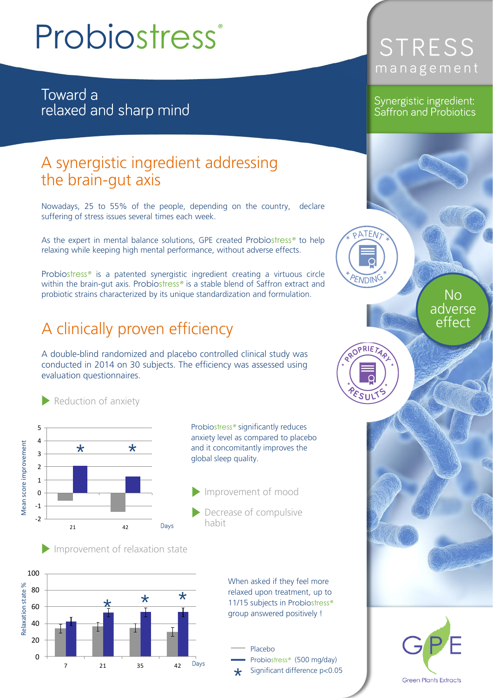# Probiostress*®*

Toward a relaxed and sharp mind

# $\frac{1}{2}$  the brain-gut axis the brain-gut axis

Nowadays, 25 to 55% of the people, depending on the country, declare suffering of stress issues several times each week. suffering of stress issues several times each week.

As the expert in mental balance solutions, GPE created Probiostress<sup>®</sup> to help relaxing while keeping high mental performance, without adverse effects. relaxing while keeping high mental performance, without adverse effects.

Probiostress*®* is a patented synergistic ingredient creating a virtuous circle within the brain-gut axis. Probiostress*®* is a stable blend of Saffron extract and probiotic strains characterized by its unique standardization and formulation.

## A clinically proven efficiency

A double-blind randomized and placebo controlled clinical study was conducted in 2014 on 30 subjects. The efficiency was assessed using conducted in 2014 on 30 subjects. The efficiency was assessed using evaluation questionnaires.



Improvement of relaxation state

Reduction of anxiety



When asked if they feel more<br>relaxed upon treatment, up to 11/15 subjects in Probiostress<sup>®</sup> group answered positively !

### Probiostress<sup>®</sup> (500 mg/day) Significant difference p<0.05

# STRESS management

#### Synergistic ingredient: Saffron and Probiotics

**ATEN** 

*ENDIN* 

ROPRIET

 $\xi_{SIII}$ 

adverse effect effect

**Green Plants Extracts** 

 $No$